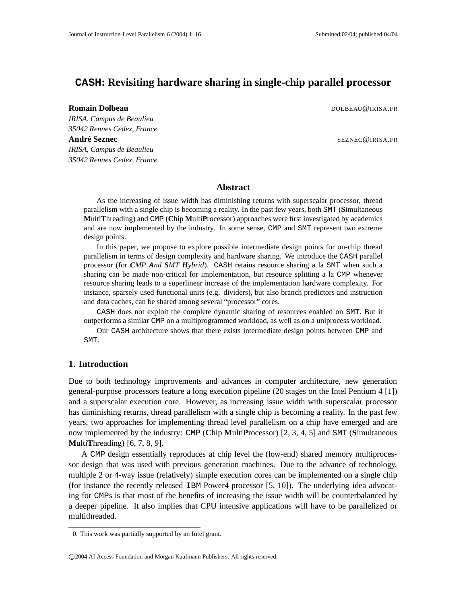# **CASH: Revisiting hardware sharing in single-chip parallel processor**

**Romain Dolbeau** DOLBEAU @IRISA.FR

*IRISA, Campus de Beaulieu 35042 Rennes Cedex, France* **André Seznec** SEZNEC@IRISA.FR *IRISA, Campus de Beaulieu 35042 Rennes Cedex, France*

## **Abstract**

As the increasing of issue width has diminishing returns with superscalar processor, thread parallelism with a single chip is becoming a reality. In the past few years, both SMT (**S**imultaneous **M**ulti**T**hreading) and CMP (**C**hip **M**ulti**P**rocessor) approaches were first investigated by academics and are now implemented by the industry. In some sense, CMP and SMT represent two extreme design points.

In this paper, we propose to explore possible intermediate design points for on-chip thread parallelism in terms of design complexity and hardware sharing. We introduce the CASH parallel processor (for *CMP And SMT Hybrid*). CASH retains resource sharing a la SMT when such a sharing can be made non-critical for implementation, but resource splitting a la CMP whenever resource sharing leads to a superlinear increase of the implementation hardware complexity. For instance, sparsely used functional units (e.g. dividers), but also branch predictors and instruction and data caches, can be shared among several "processor" cores.

CASH does not exploit the complete dynamic sharing of resources enabled on SMT. But it outperforms a similar CMP on a multiprogrammed workload, as well as on a uniprocess workload.

Our CASH architecture shows that there exists intermediate design points between CMP and SMT.

# **1. Introduction**

Due to both technology improvements and advances in computer architecture, new generation general-purpose processors feature a long execution pipeline (20 stages on the Intel Pentium 4 [1]) and a superscalar execution core. However, as increasing issue width with superscalar processor has diminishing returns, thread parallelism with a single chip is becoming a reality. In the past few years, two approaches for implementing thread level parallelism on a chip have emerged and are now implemented by the industry: CMP (**C**hip **M**ulti**P**rocessor) [2, 3, 4, 5] and SMT (**S**imultaneous **M**ulti**T**hreading) [6, 7, 8, 9].

A CMP design essentially reproduces at chip level the (low-end) shared memory multiprocessor design that was used with previous generation machines. Due to the advance of technology, multiple 2 or 4-way issue (relatively) simple execution cores can be implemented on a single chip (for instance the recently released IBM Power4 processor [5, 10]). The underlying idea advocating for CMPs is that most of the benefits of increasing the issue width will be counterbalanced by a deeper pipeline. It also implies that CPU intensive applications will have to be parallelized or multithreaded.

<sup>0.</sup> This work was partially supported by an Intel grant.

c 2004 AI Access Foundation and Morgan Kaufmann Publishers. All rights reserved.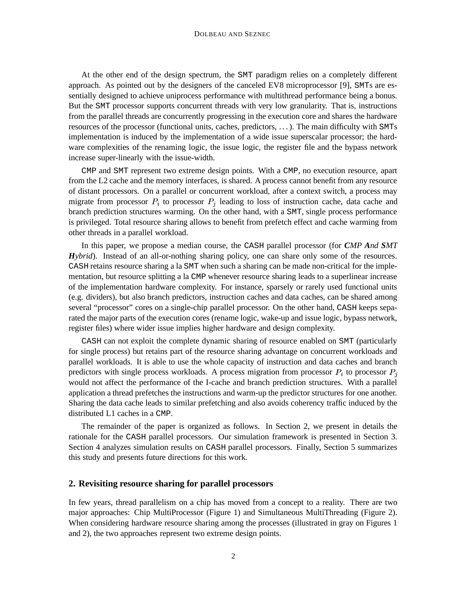DOLBEAU AND SEZNEC

At the other end of the design spectrum, the SMT paradigm relies on a completely different approach. As pointed out by the designers of the canceled EV8 microprocessor [9], SMTs are essentially designed to achieve uniprocess performance with multithread performance being a bonus. But the SMT processor supports concurrent threads with very low granularity. That is, instructions from the parallel threads are concurrently progressing in the execution core and shares the hardware resources of the processor (functional units, caches, predictors, . . .). The main difficulty with SMTs implementation is induced by the implementation of a wide issue superscalar processor; the hardware complexities of the renaming logic, the issue logic, the register file and the bypass network increase super-linearly with the issue-width.

CMP and SMT represent two extreme design points. With a CMP, no execution resource, apart from the L2 cache and the memory interfaces, is shared. A process cannot benefit from any resource of distant processors. On a parallel or concurrent workload, after a context switch, a process may migrate from processor  $P_i$  to processor  $P_j$  leading to loss of instruction cache, data cache and branch prediction structures warming. On the other hand, with a SMT, single process performance is privileged. Total resource sharing allows to benefit from prefetch effect and cache warming from other threads in a parallel workload.

In this paper, we propose a median course, the CASH parallel processor (for *CMP And SMT Hybrid*). Instead of an all-or-nothing sharing policy, one can share only some of the resources. CASH retains resource sharing a la SMT when such a sharing can be made non-critical for the implementation, but resource splitting a la CMP whenever resource sharing leads to a superlinear increase of the implementation hardware complexity. For instance, sparsely or rarely used functional units (e.g. dividers), but also branch predictors, instruction caches and data caches, can be shared among several "processor" cores on a single-chip parallel processor. On the other hand, CASH keeps separated the major parts of the execution cores (rename logic, wake-up and issue logic, bypass network, register files) where wider issue implies higher hardware and design complexity.

CASH can not exploit the complete dynamic sharing of resource enabled on SMT (particularly for single process) but retains part of the resource sharing advantage on concurrent workloads and parallel workloads. It is able to use the whole capacity of instruction and data caches and branch predictors with single process workloads. A process migration from processor  $P_i$  to processor  $P_i$ would not affect the performance of the I-cache and branch prediction structures. With a parallel application a thread prefetches the instructions and warm-up the predictor structures for one another. Sharing the data cache leads to similar prefetching and also avoids coherency traffic induced by the distributed L1 caches in a CMP.

The remainder of the paper is organized as follows. In Section 2, we present in details the rationale for the CASH parallel processors. Our simulation framework is presented in Section 3. Section 4 analyzes simulation results on CASH parallel processors. Finally, Section 5 summarizes this study and presents future directions for this work.

# **2. Revisiting resource sharing for parallel processors**

In few years, thread parallelism on a chip has moved from a concept to a reality. There are two major approaches: Chip MultiProcessor (Figure 1) and Simultaneous MultiThreading (Figure 2). When considering hardware resource sharing among the processes (illustrated in gray on Figures 1 and 2), the two approaches represent two extreme design points.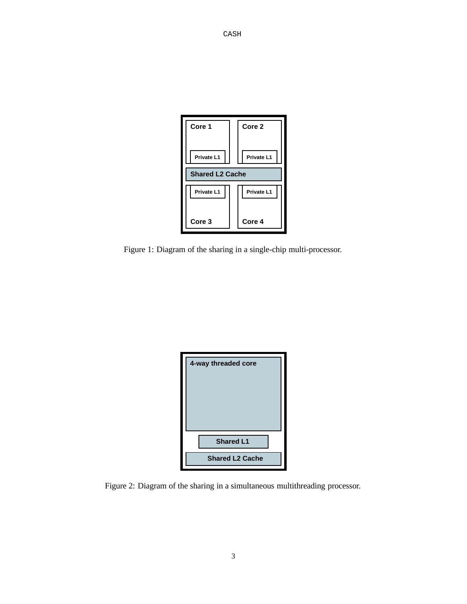| Core 1                 | Core <sub>2</sub> |  |  |  |
|------------------------|-------------------|--|--|--|
| Private L1             | Private L1        |  |  |  |
| <b>Shared L2 Cache</b> |                   |  |  |  |
| Private L1             | Private L1        |  |  |  |
| Core 3                 | Core 4            |  |  |  |

CASH

Figure 1: Diagram of the sharing in a single-chip multi-processor.

| 4-way threaded core    |
|------------------------|
| <b>Shared L1</b>       |
| <b>Shared L2 Cache</b> |

Figure 2: Diagram of the sharing in a simultaneous multithreading processor.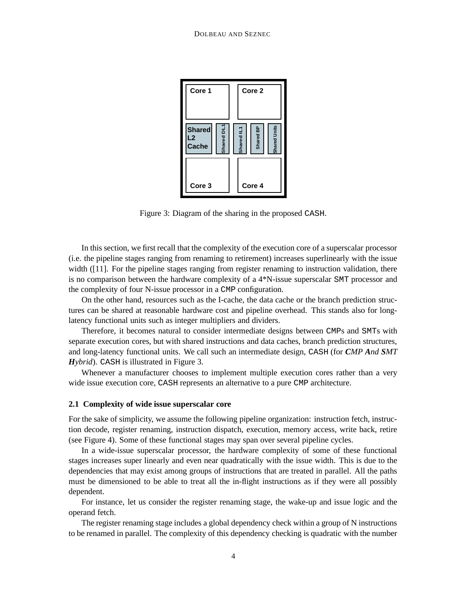

Figure 3: Diagram of the sharing in the proposed CASH.

In this section, we first recall that the complexity of the execution core of a superscalar processor (i.e. the pipeline stages ranging from renaming to retirement) increases superlinearly with the issue width ([11]. For the pipeline stages ranging from register renaming to instruction validation, there is no comparison between the hardware complexity of a 4\*N-issue superscalar SMT processor and the complexity of four N-issue processor in a CMP configuration.

On the other hand, resources such as the I-cache, the data cache or the branch prediction structures can be shared at reasonable hardware cost and pipeline overhead. This stands also for longlatency functional units such as integer multipliers and dividers.

Therefore, it becomes natural to consider intermediate designs between CMPs and SMTs with separate execution cores, but with shared instructions and data caches, branch prediction structures, and long-latency functional units. We call such an intermediate design, CASH (for *CMP And SMT Hybrid*). CASH is illustrated in Figure 3.

Whenever a manufacturer chooses to implement multiple execution cores rather than a very wide issue execution core, CASH represents an alternative to a pure CMP architecture.

#### **2.1 Complexity of wide issue superscalar core**

For the sake of simplicity, we assume the following pipeline organization: instruction fetch, instruction decode, register renaming, instruction dispatch, execution, memory access, write back, retire (see Figure 4). Some of these functional stages may span over several pipeline cycles.

In a wide-issue superscalar processor, the hardware complexity of some of these functional stages increases super linearly and even near quadratically with the issue width. This is due to the dependencies that may exist among groups of instructions that are treated in parallel. All the paths must be dimensioned to be able to treat all the in-flight instructions as if they were all possibly dependent.

For instance, let us consider the register renaming stage, the wake-up and issue logic and the operand fetch.

The register renaming stage includes a global dependency check within a group of N instructions to be renamed in parallel. The complexity of this dependency checking is quadratic with the number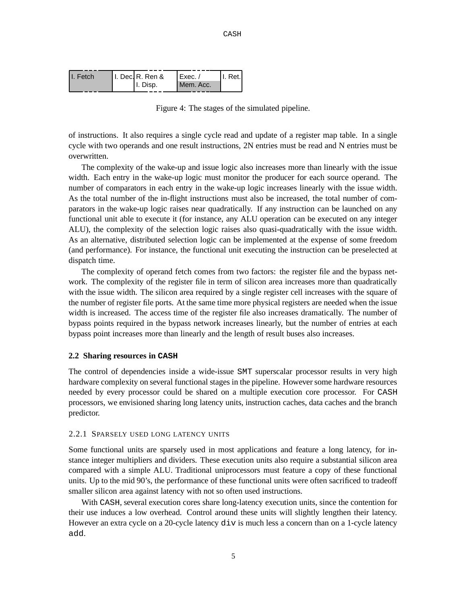| II. Fetch | II. Decl R. Ren & | l Exec.   | II. Ret.l |
|-----------|-------------------|-----------|-----------|
|           | 'I. Disp.         | Mem. Acc. |           |

Figure 4: The stages of the simulated pipeline.

of instructions. It also requires a single cycle read and update of a register map table. In a single cycle with two operands and one result instructions, 2N entries must be read and N entries must be overwritten.

The complexity of the wake-up and issue logic also increases more than linearly with the issue width. Each entry in the wake-up logic must monitor the producer for each source operand. The number of comparators in each entry in the wake-up logic increases linearly with the issue width. As the total number of the in-flight instructions must also be increased, the total number of comparators in the wake-up logic raises near quadratically. If any instruction can be launched on any functional unit able to execute it (for instance, any ALU operation can be executed on any integer ALU), the complexity of the selection logic raises also quasi-quadratically with the issue width. As an alternative, distributed selection logic can be implemented at the expense of some freedom (and performance). For instance, the functional unit executing the instruction can be preselected at dispatch time.

The complexity of operand fetch comes from two factors: the register file and the bypass network. The complexity of the register file in term of silicon area increases more than quadratically with the issue width. The silicon area required by a single register cell increases with the square of the number of register file ports. At the same time more physical registers are needed when the issue width is increased. The access time of the register file also increases dramatically. The number of bypass points required in the bypass network increases linearly, but the number of entries at each bypass point increases more than linearly and the length of result buses also increases.

#### **2.2 Sharing resources in CASH**

The control of dependencies inside a wide-issue SMT superscalar processor results in very high hardware complexity on several functional stages in the pipeline. However some hardware resources needed by every processor could be shared on a multiple execution core processor. For CASH processors, we envisioned sharing long latency units, instruction caches, data caches and the branch predictor.

### 2.2.1 SPARSELY USED LONG LATENCY UNITS

Some functional units are sparsely used in most applications and feature a long latency, for instance integer multipliers and dividers. These execution units also require a substantial silicon area compared with a simple ALU. Traditional uniprocessors must feature a copy of these functional units. Up to the mid 90's, the performance of these functional units were often sacrificed to tradeoff smaller silicon area against latency with not so often used instructions.

With CASH, several execution cores share long-latency execution units, since the contention for their use induces a low overhead. Control around these units will slightly lengthen their latency. However an extra cycle on a 20-cycle latency div is much less a concern than on a 1-cycle latency add.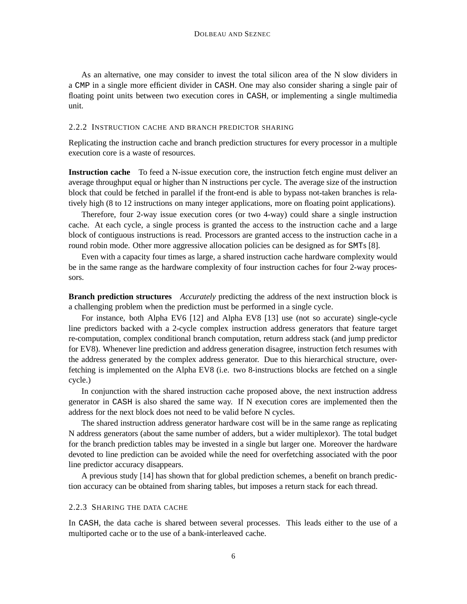As an alternative, one may consider to invest the total silicon area of the N slow dividers in a CMP in a single more efficient divider in CASH. One may also consider sharing a single pair of floating point units between two execution cores in CASH, or implementing a single multimedia unit.

## 2.2.2 INSTRUCTION CACHE AND BRANCH PREDICTOR SHARING

Replicating the instruction cache and branch prediction structures for every processor in a multiple execution core is a waste of resources.

**Instruction cache** To feed a N-issue execution core, the instruction fetch engine must deliver an average throughput equal or higher than N instructions per cycle. The average size of the instruction block that could be fetched in parallel if the front-end is able to bypass not-taken branches is relatively high (8 to 12 instructions on many integer applications, more on floating point applications).

Therefore, four 2-way issue execution cores (or two 4-way) could share a single instruction cache. At each cycle, a single process is granted the access to the instruction cache and a large block of contiguous instructions is read. Processors are granted access to the instruction cache in a round robin mode. Other more aggressive allocation policies can be designed as for SMTs [8].

Even with a capacity four times as large, a shared instruction cache hardware complexity would be in the same range as the hardware complexity of four instruction caches for four 2-way processors.

**Branch prediction structures** *Accurately* predicting the address of the next instruction block is a challenging problem when the prediction must be performed in a single cycle.

For instance, both Alpha EV6 [12] and Alpha EV8 [13] use (not so accurate) single-cycle line predictors backed with a 2-cycle complex instruction address generators that feature target re-computation, complex conditional branch computation, return address stack (and jump predictor for EV8). Whenever line prediction and address generation disagree, instruction fetch resumes with the address generated by the complex address generator. Due to this hierarchical structure, overfetching is implemented on the Alpha EV8 (i.e. two 8-instructions blocks are fetched on a single cycle.)

In conjunction with the shared instruction cache proposed above, the next instruction address generator in CASH is also shared the same way. If N execution cores are implemented then the address for the next block does not need to be valid before N cycles.

The shared instruction address generator hardware cost will be in the same range as replicating N address generators (about the same number of adders, but a wider multiplexor). The total budget for the branch prediction tables may be invested in a single but larger one. Moreover the hardware devoted to line prediction can be avoided while the need for overfetching associated with the poor line predictor accuracy disappears.

A previous study [14] has shown that for global prediction schemes, a benefit on branch prediction accuracy can be obtained from sharing tables, but imposes a return stack for each thread.

## 2.2.3 SHARING THE DATA CACHE

In CASH, the data cache is shared between several processes. This leads either to the use of a multiported cache or to the use of a bank-interleaved cache.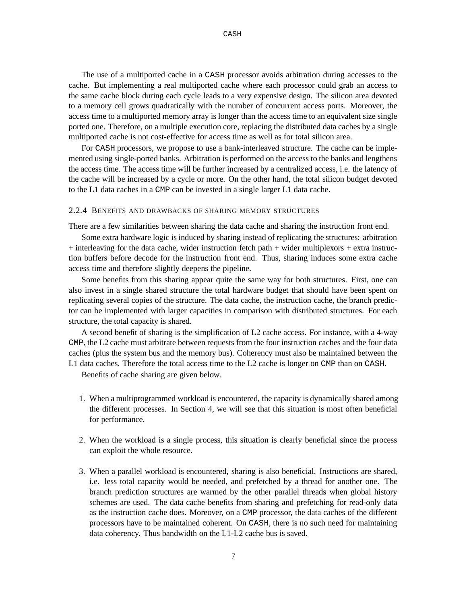The use of a multiported cache in a CASH processor avoids arbitration during accesses to the cache. But implementing a real multiported cache where each processor could grab an access to the same cache block during each cycle leads to a very expensive design. The silicon area devoted to a memory cell grows quadratically with the number of concurrent access ports. Moreover, the access time to a multiported memory array is longer than the access time to an equivalent size single ported one. Therefore, on a multiple execution core, replacing the distributed data caches by a single multiported cache is not cost-effective for access time as well as for total silicon area.

For CASH processors, we propose to use a bank-interleaved structure. The cache can be implemented using single-ported banks. Arbitration is performed on the access to the banks and lengthens the access time. The access time will be further increased by a centralized access, i.e. the latency of the cache will be increased by a cycle or more. On the other hand, the total silicon budget devoted to the L1 data caches in a CMP can be invested in a single larger L1 data cache.

#### 2.2.4 BENEFITS AND DRAWBACKS OF SHARING MEMORY STRUCTURES

There are a few similarities between sharing the data cache and sharing the instruction front end.

Some extra hardware logic is induced by sharing instead of replicating the structures: arbitration + interleaving for the data cache, wider instruction fetch path + wider multiplexors + extra instruction buffers before decode for the instruction front end. Thus, sharing induces some extra cache access time and therefore slightly deepens the pipeline.

Some benefits from this sharing appear quite the same way for both structures. First, one can also invest in a single shared structure the total hardware budget that should have been spent on replicating several copies of the structure. The data cache, the instruction cache, the branch predictor can be implemented with larger capacities in comparison with distributed structures. For each structure, the total capacity is shared.

A second benefit of sharing is the simplification of L2 cache access. For instance, with a 4-way CMP, the L2 cache must arbitrate between requests from the four instruction caches and the four data caches (plus the system bus and the memory bus). Coherency must also be maintained between the L1 data caches. Therefore the total access time to the L2 cache is longer on CMP than on CASH.

Benefits of cache sharing are given below.

- 1. When a multiprogrammed workload is encountered, the capacity is dynamically shared among the different processes. In Section 4, we will see that this situation is most often beneficial for performance.
- 2. When the workload is a single process, this situation is clearly beneficial since the process can exploit the whole resource.
- 3. When a parallel workload is encountered, sharing is also beneficial. Instructions are shared, i.e. less total capacity would be needed, and prefetched by a thread for another one. The branch prediction structures are warmed by the other parallel threads when global history schemes are used. The data cache benefits from sharing and prefetching for read-only data as the instruction cache does. Moreover, on a CMP processor, the data caches of the different processors have to be maintained coherent. On CASH, there is no such need for maintaining data coherency. Thus bandwidth on the L1-L2 cache bus is saved.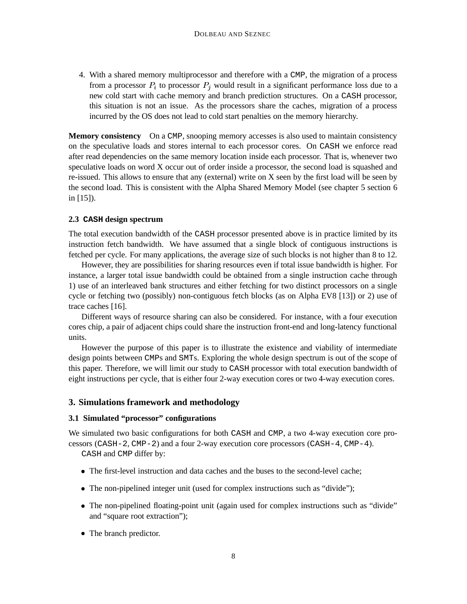4. With a shared memory multiprocessor and therefore with a CMP, the migration of a process from a processor  $P_i$  to processor  $P_j$  would result in a significant performance loss due to a new cold start with cache memory and branch prediction structures. On a CASH processor, this situation is not an issue. As the processors share the caches, migration of a process incurred by the OS does not lead to cold start penalties on the memory hierarchy.

**Memory consistency** On a CMP, snooping memory accesses is also used to maintain consistency on the speculative loads and stores internal to each processor cores. On CASH we enforce read after read dependencies on the same memory location inside each processor. That is, whenever two speculative loads on word X occur out of order inside a processor, the second load is squashed and re-issued. This allows to ensure that any (external) write on X seen by the first load will be seen by the second load. This is consistent with the Alpha Shared Memory Model (see chapter 5 section 6 in [15]).

## **2.3 CASH design spectrum**

The total execution bandwidth of the CASH processor presented above is in practice limited by its instruction fetch bandwidth. We have assumed that a single block of contiguous instructions is fetched per cycle. For many applications, the average size of such blocks is not higher than 8 to 12.

However, they are possibilities for sharing resources even if total issue bandwidth is higher. For instance, a larger total issue bandwidth could be obtained from a single instruction cache through 1) use of an interleaved bank structures and either fetching for two distinct processors on a single cycle or fetching two (possibly) non-contiguous fetch blocks (as on Alpha EV8 [13]) or 2) use of trace caches [16].

Different ways of resource sharing can also be considered. For instance, with a four execution cores chip, a pair of adjacent chips could share the instruction front-end and long-latency functional units.

However the purpose of this paper is to illustrate the existence and viability of intermediate design points between CMPs and SMTs. Exploring the whole design spectrum is out of the scope of this paper. Therefore, we will limit our study to CASH processor with total execution bandwidth of eight instructions per cycle, that is either four 2-way execution cores or two 4-way execution cores.

## **3. Simulations framework and methodology**

# **3.1 Simulated "processor" configurations**

We simulated two basic configurations for both CASH and CMP, a two 4-way execution core processors (CASH-2, CMP-2) and a four 2-way execution core processors (CASH-4, CMP-4).

CASH and CMP differ by:

- The first-level instruction and data caches and the buses to the second-level cache;
- The non-pipelined integer unit (used for complex instructions such as "divide");
- The non-pipelined floating-point unit (again used for complex instructions such as "divide" and "square root extraction");
- The branch predictor.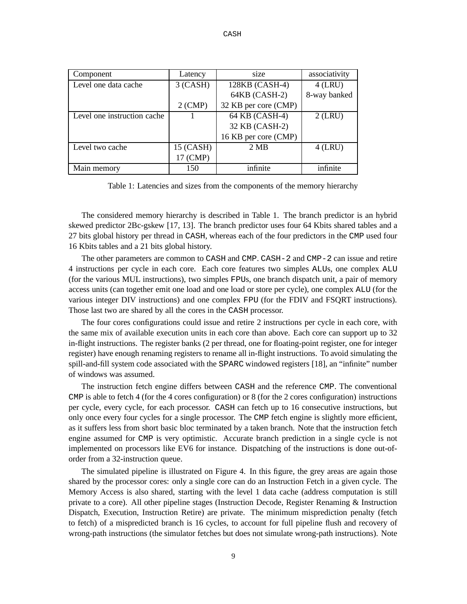| Component                   | Latency   | size                 | associativity |
|-----------------------------|-----------|----------------------|---------------|
| Level one data cache        | 3 (CASH)  | 128KB (CASH-4)       | $4$ (LRU)     |
|                             |           | 64KB (CASH-2)        | 8-way banked  |
|                             | $2$ (CMP) | 32 KB per core (CMP) |               |
| Level one instruction cache |           | 64 KB (CASH-4)       | $2$ (LRU)     |
|                             |           | 32 KB (CASH-2)       |               |
|                             |           | 16 KB per core (CMP) |               |
| Level two cache             | 15 (CASH) | 2MB                  | $4$ (LRU)     |
|                             | 17 (CMP)  |                      |               |
| Main memory                 | 150       | infinite             | infinite      |

Table 1: Latencies and sizes from the components of the memory hierarchy

The considered memory hierarchy is described in Table 1. The branch predictor is an hybrid skewed predictor 2Bc-gskew [17, 13]. The branch predictor uses four 64 Kbits shared tables and a 27 bits global history per thread in CASH, whereas each of the four predictors in the CMP used four 16 Kbits tables and a 21 bits global history.

The other parameters are common to CASH and CMP. CASH-2 and CMP-2 can issue and retire 4 instructions per cycle in each core. Each core features two simples ALUs, one complex ALU (for the various MUL instructions), two simples FPUs, one branch dispatch unit, a pair of memory access units (can together emit one load and one load or store per cycle), one complex ALU (for the various integer DIV instructions) and one complex FPU (for the FDIV and FSQRT instructions). Those last two are shared by all the cores in the CASH processor.

The four cores configurations could issue and retire 2 instructions per cycle in each core, with the same mix of available execution units in each core than above. Each core can support up to 32 in-flight instructions. The register banks (2 per thread, one for floating-point register, one for integer register) have enough renaming registers to rename all in-flight instructions. To avoid simulating the spill-and-fill system code associated with the SPARC windowed registers [18], an "infinite" number of windows was assumed.

The instruction fetch engine differs between CASH and the reference CMP. The conventional CMP is able to fetch 4 (for the 4 cores configuration) or 8 (for the 2 cores configuration) instructions per cycle, every cycle, for each processor. CASH can fetch up to 16 consecutive instructions, but only once every four cycles for a single processor. The CMP fetch engine is slightly more efficient, as it suffers less from short basic bloc terminated by a taken branch. Note that the instruction fetch engine assumed for CMP is very optimistic. Accurate branch prediction in a single cycle is not implemented on processors like EV6 for instance. Dispatching of the instructions is done out-oforder from a 32-instruction queue.

The simulated pipeline is illustrated on Figure 4. In this figure, the grey areas are again those shared by the processor cores: only a single core can do an Instruction Fetch in a given cycle. The Memory Access is also shared, starting with the level 1 data cache (address computation is still private to a core). All other pipeline stages (Instruction Decode, Register Renaming & Instruction Dispatch, Execution, Instruction Retire) are private. The minimum misprediction penalty (fetch to fetch) of a mispredicted branch is 16 cycles, to account for full pipeline flush and recovery of wrong-path instructions (the simulator fetches but does not simulate wrong-path instructions). Note

9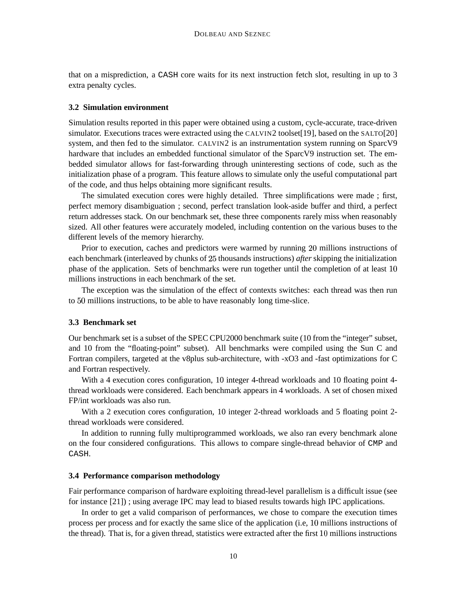that on a misprediction, a CASH core waits for its next instruction fetch slot, resulting in up to 3 extra penalty cycles.

## **3.2 Simulation environment**

Simulation results reported in this paper were obtained using a custom, cycle-accurate, trace-driven simulator. Executions traces were extracted using the CALVIN2 toolset[19], based on the SALTO[20] system, and then fed to the simulator. CALVIN2 is an instrumentation system running on SparcV9 hardware that includes an embedded functional simulator of the SparcV9 instruction set. The embedded simulator allows for fast-forwarding through uninteresting sections of code, such as the initialization phase of a program. This feature allows to simulate only the useful computational part of the code, and thus helps obtaining more significant results.

The simulated execution cores were highly detailed. Three simplifications were made ; first, perfect memory disambiguation ; second, perfect translation look-aside buffer and third, a perfect return addresses stack. On our benchmark set, these three components rarely miss when reasonably sized. All other features were accurately modeled, including contention on the various buses to the different levels of the memory hierarchy.

Prior to execution, caches and predictors were warmed by running 20 millions instructions of each benchmark (interleaved by chunks of 25 thousands instructions) *after* skipping the initialization phase of the application. Sets of benchmarks were run together until the completion of at least millions instructions in each benchmark of the set.

The exception was the simulation of the effect of contexts switches: each thread was then run to 50 millions instructions, to be able to have reasonably long time-slice.

## **3.3 Benchmark set**

Our benchmark set is a subset of the SPEC CPU2000 benchmark suite (10 from the "integer" subset, and 10 from the "floating-point" subset). All benchmarks were compiled using the Sun C and Fortran compilers, targeted at the v8plus sub-architecture, with -xO3 and -fast optimizations for C and Fortran respectively.

With a 4 execution cores configuration, 10 integer 4-thread workloads and 10 floating point 4thread workloads were considered. Each benchmark appears in 4 workloads. A set of chosen mixed FP/int workloads was also run.

With a 2 execution cores configuration, 10 integer 2-thread workloads and 5 floating point 2thread workloads were considered.

In addition to running fully multiprogrammed workloads, we also ran every benchmark alone on the four considered configurations. This allows to compare single-thread behavior of CMP and CASH.

#### **3.4 Performance comparison methodology**

Fair performance comparison of hardware exploiting thread-level parallelism is a difficult issue (see for instance [21]) ; using average IPC may lead to biased results towards high IPC applications.

In order to get a valid comparison of performances, we chose to compare the execution times process per process and for exactly the same slice of the application (i.e, 10 millions instructions of the thread). That is, for a given thread, statistics were extracted after the first  $10$  millions instructions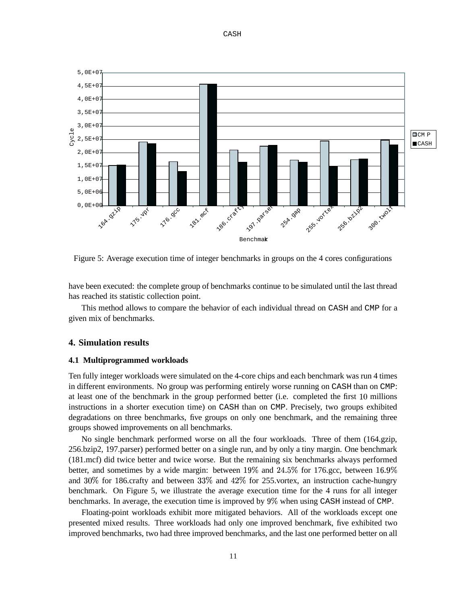#### CASH



Figure 5: Average execution time of integer benchmarks in groups on the 4 cores configurations

have been executed: the complete group of benchmarks continue to be simulated until the last thread has reached its statistic collection point.

This method allows to compare the behavior of each individual thread on CASH and CMP for a given mix of benchmarks.

### **4. Simulation results**

### **4.1 Multiprogrammed workloads**

Ten fully integer workloads were simulated on the 4-core chips and each benchmark was run 4 times in different environments. No group was performing entirely worse running on CASH than on CMP: at least one of the benchmark in the group performed better (i.e. completed the first 10 millions instructions in a shorter execution time) on CASH than on CMP. Precisely, two groups exhibited degradations on three benchmarks, five groups on only one benchmark, and the remaining three groups showed improvements on all benchmarks.

No single benchmark performed worse on all the four workloads. Three of them (164.gzip, 256.bzip2, 197.parser) performed better on a single run, and by only a tiny margin. One benchmark (181.mcf) did twice better and twice worse. But the remaining six benchmarks always performed better, and sometimes by a wide margin: between  $19\%$  and  $24.5\%$  for 176.gcc, between  $16.9\%$ and  $30\%$  for 186.crafty and between  $33\%$  and  $42\%$  for 255.vortex, an instruction cache-hungry benchmark. On Figure 5, we illustrate the average execution time for the 4 runs for all integer benchmarks. In average, the execution time is improved by when using CASH instead of CMP.

Floating-point workloads exhibit more mitigated behaviors. All of the workloads except one presented mixed results. Three workloads had only one improved benchmark, five exhibited two improved benchmarks, two had three improved benchmarks, and the last one performed better on all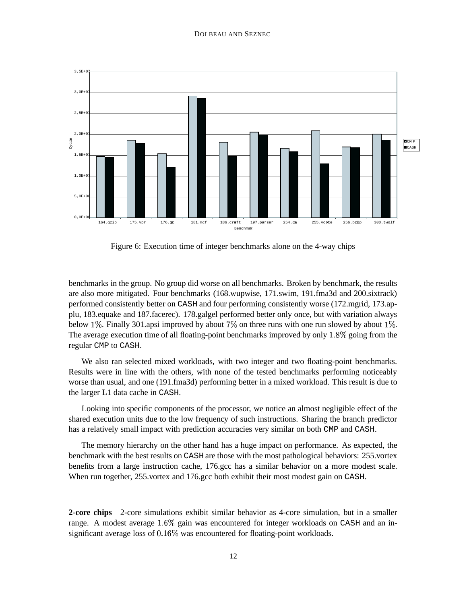

Figure 6: Execution time of integer benchmarks alone on the 4-way chips

benchmarks in the group. No group did worse on all benchmarks. Broken by benchmark, the results are also more mitigated. Four benchmarks (168.wupwise, 171.swim, 191.fma3d and 200.sixtrack) performed consistently better on CASH and four performing consistently worse (172.mgrid, 173.applu, 183.equake and 187.facerec). 178.galgel performed better only once, but with variation always below 1%. Finally 301 apsi improved by about  $7\%$  on three runs with one run slowed by about 1%. The average execution time of all floating-point benchmarks improved by only 1.8% going from the regular CMP to CASH.

We also ran selected mixed workloads, with two integer and two floating-point benchmarks. Results were in line with the others, with none of the tested benchmarks performing noticeably worse than usual, and one (191.fma3d) performing better in a mixed workload. This result is due to the larger L1 data cache in CASH.

Looking into specific components of the processor, we notice an almost negligible effect of the shared execution units due to the low frequency of such instructions. Sharing the branch predictor has a relatively small impact with prediction accuracies very similar on both CMP and CASH.

The memory hierarchy on the other hand has a huge impact on performance. As expected, the benchmark with the best results on CASH are those with the most pathological behaviors: 255.vortex benefits from a large instruction cache, 176.gcc has a similar behavior on a more modest scale. When run together, 255.vortex and 176.gcc both exhibit their most modest gain on CASH.

**2-core chips** 2-core simulations exhibit similar behavior as 4-core simulation, but in a smaller range. A modest average 1.6% gain was encountered for integer workloads on CASH and an insignificant average loss of  $0.16\%$  was encountered for floating-point workloads.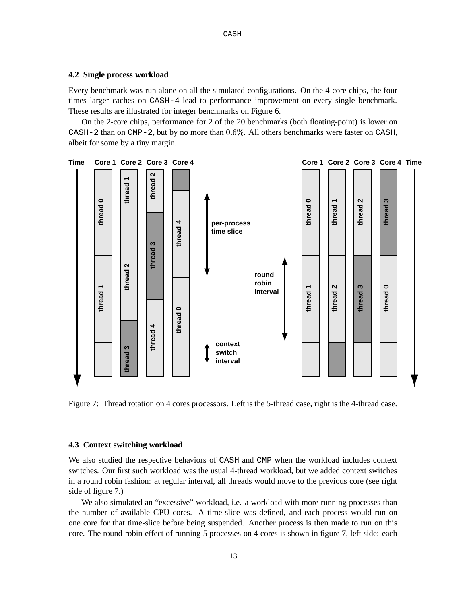### **4.2 Single process workload**

Every benchmark was run alone on all the simulated configurations. On the 4-core chips, the four times larger caches on CASH-4 lead to performance improvement on every single benchmark. These results are illustrated for integer benchmarks on Figure 6.

On the 2-core chips, performance for 2 of the 20 benchmarks (both floating-point) is lower on CASH-2 than on CMP-2, but by no more than  $0.6\%$ . All others benchmarks were faster on CASH, albeit for some by a tiny margin.



Figure 7: Thread rotation on 4 cores processors. Left is the 5-thread case, right is the 4-thread case.

### **4.3 Context switching workload**

We also studied the respective behaviors of CASH and CMP when the workload includes context switches. Our first such workload was the usual 4-thread workload, but we added context switches in a round robin fashion: at regular interval, all threads would move to the previous core (see right side of figure 7.)

We also simulated an "excessive" workload, i.e. a workload with more running processes than the number of available CPU cores. A time-slice was defined, and each process would run on one core for that time-slice before being suspended. Another process is then made to run on this core. The round-robin effect of running 5 processes on 4 cores is shown in figure 7, left side: each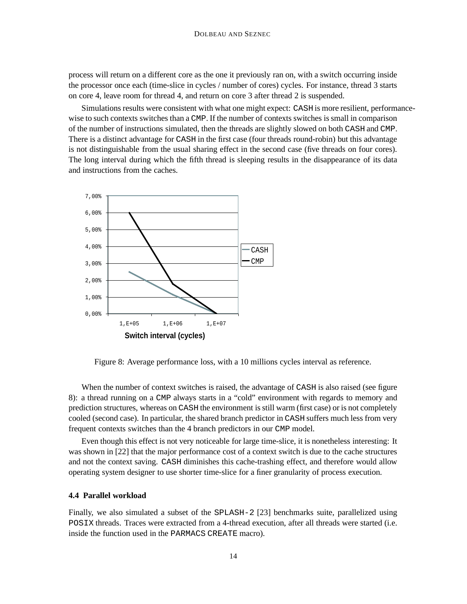process will return on a different core as the one it previously ran on, with a switch occurring inside the processor once each (time-slice in cycles / number of cores) cycles. For instance, thread 3 starts on core 4, leave room for thread 4, and return on core 3 after thread 2 is suspended.

Simulations results were consistent with what one might expect: CASH is more resilient, performancewise to such contexts switches than a CMP. If the number of contexts switches is small in comparison of the number of instructions simulated, then the threads are slightly slowed on both CASH and CMP. There is a distinct advantage for CASH in the first case (four threads round-robin) but this advantage is not distinguishable from the usual sharing effect in the second case (five threads on four cores). The long interval during which the fifth thread is sleeping results in the disappearance of its data and instructions from the caches.



Figure 8: Average performance loss, with a 10 millions cycles interval as reference.

When the number of context switches is raised, the advantage of CASH is also raised (see figure 8): a thread running on a CMP always starts in a "cold" environment with regards to memory and prediction structures, whereas on CASH the environment is still warm (first case) or is not completely cooled (second case). In particular, the shared branch predictor in CASH suffers much less from very frequent contexts switches than the 4 branch predictors in our CMP model.

Even though this effect is not very noticeable for large time-slice, it is nonetheless interesting: It was shown in [22] that the major performance cost of a context switch is due to the cache structures and not the context saving. CASH diminishes this cache-trashing effect, and therefore would allow operating system designer to use shorter time-slice for a finer granularity of process execution.

### **4.4 Parallel workload**

Finally, we also simulated a subset of the SPLASH-2 [23] benchmarks suite, parallelized using POSIX threads. Traces were extracted from a 4-thread execution, after all threads were started (i.e. inside the function used in the PARMACS CREATE macro).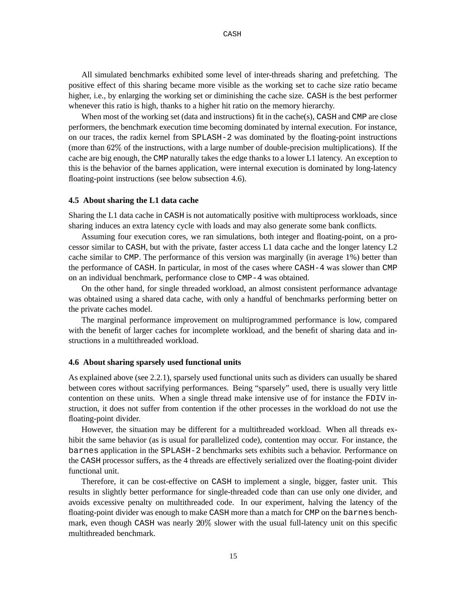All simulated benchmarks exhibited some level of inter-threads sharing and prefetching. The positive effect of this sharing became more visible as the working set to cache size ratio became higher, i.e., by enlarging the working set or diminishing the cache size. CASH is the best performer whenever this ratio is high, thanks to a higher hit ratio on the memory hierarchy.

When most of the working set (data and instructions) fit in the cache(s), CASH and CMP are close performers, the benchmark execution time becoming dominated by internal execution. For instance, on our traces, the radix kernel from SPLASH-2 was dominated by the floating-point instructions (more than  $62\%$  of the instructions, with a large number of double-precision multiplications). If the cache are big enough, the CMP naturally takes the edge thanks to a lower L1 latency. An exception to this is the behavior of the barnes application, were internal execution is dominated by long-latency floating-point instructions (see below subsection 4.6).

### **4.5 About sharing the L1 data cache**

Sharing the L1 data cache in CASH is not automatically positive with multiprocess workloads, since sharing induces an extra latency cycle with loads and may also generate some bank conflicts.

Assuming four execution cores, we ran simulations, both integer and floating-point, on a processor similar to CASH, but with the private, faster access L1 data cache and the longer latency L2 cache similar to CMP. The performance of this version was marginally (in average 1%) better than the performance of CASH. In particular, in most of the cases where CASH-4 was slower than CMP on an individual benchmark, performance close to CMP-4 was obtained.

On the other hand, for single threaded workload, an almost consistent performance advantage was obtained using a shared data cache, with only a handful of benchmarks performing better on the private caches model.

The marginal performance improvement on multiprogrammed performance is low, compared with the benefit of larger caches for incomplete workload, and the benefit of sharing data and instructions in a multithreaded workload.

#### **4.6 About sharing sparsely used functional units**

As explained above (see 2.2.1), sparsely used functional units such as dividers can usually be shared between cores without sacrifying performances. Being "sparsely" used, there is usually very little contention on these units. When a single thread make intensive use of for instance the FDIV instruction, it does not suffer from contention if the other processes in the workload do not use the floating-point divider.

However, the situation may be different for a multithreaded workload. When all threads exhibit the same behavior (as is usual for parallelized code), contention may occur. For instance, the barnes application in the SPLASH-2 benchmarks sets exhibits such a behavior. Performance on the CASH processor suffers, as the 4 threads are effectively serialized over the floating-point divider functional unit.

Therefore, it can be cost-effective on CASH to implement a single, bigger, faster unit. This results in slightly better performance for single-threaded code than can use only one divider, and avoids excessive penalty on multithreaded code. In our experiment, halving the latency of the floating-point divider was enough to make CASH more than a match for CMP on the barnes benchmark, even though CASH was nearly 20% slower with the usual full-latency unit on this specific multithreaded benchmark.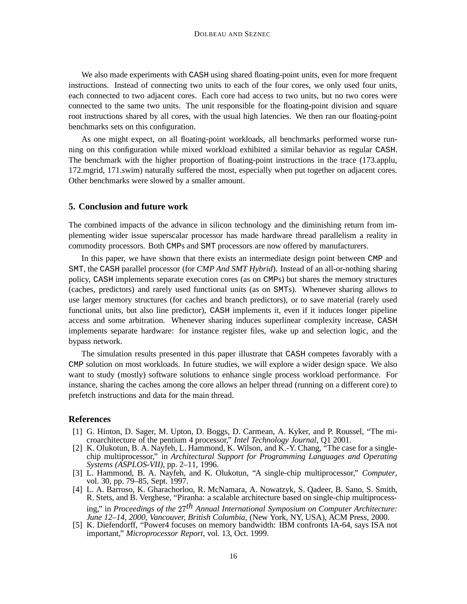We also made experiments with CASH using shared floating-point units, even for more frequent instructions. Instead of connecting two units to each of the four cores, we only used four units, each connected to two adjacent cores. Each core had access to two units, but no two cores were connected to the same two units. The unit responsible for the floating-point division and square root instructions shared by all cores, with the usual high latencies. We then ran our floating-point benchmarks sets on this configuration.

As one might expect, on all floating-point workloads, all benchmarks performed worse running on this configuration while mixed workload exhibited a similar behavior as regular CASH. The benchmark with the higher proportion of floating-point instructions in the trace (173.applu, 172.mgrid, 171.swim) naturally suffered the most, especially when put together on adjacent cores. Other benchmarks were slowed by a smaller amount.

## **5. Conclusion and future work**

The combined impacts of the advance in silicon technology and the diminishing return from implementing wider issue superscalar processor has made hardware thread parallelism a reality in commodity processors. Both CMPs and SMT processors are now offered by manufacturers.

In this paper, we have shown that there exists an intermediate design point between CMP and SMT, the CASH parallel processor (for *CMP And SMT Hybrid*). Instead of an all-or-nothing sharing policy, CASH implements separate execution cores (as on CMPs) but shares the memory structures (caches, predictors) and rarely used functional units (as on SMTs). Whenever sharing allows to use larger memory structures (for caches and branch predictors), or to save material (rarely used functional units, but also line predictor), CASH implements it, even if it induces longer pipeline access and some arbitration. Whenever sharing induces superlinear complexity increase, CASH implements separate hardware: for instance register files, wake up and selection logic, and the bypass network.

The simulation results presented in this paper illustrate that CASH competes favorably with a CMP solution on most workloads. In future studies, we will explore a wider design space. We also want to study (mostly) software solutions to enhance single process workload performance. For instance, sharing the caches among the core allows an helper thread (running on a different core) to prefetch instructions and data for the main thread.

# **References**

- [1] G. Hinton, D. Sager, M. Upton, D. Boggs, D. Carmean, A. Kyker, and P. Roussel, "The microarchitecture of the pentium 4 processor," *Intel Technology Journal*, Q1 2001.
- [2] K. Olukotun, B. A. Nayfeh, L. Hammond, K. Wilson, and K.-Y. Chang, "The case for a singlechip multiprocessor," in *Architectural Support for Programming Languages and Operating Systems (ASPLOS-VII)*, pp. 2–11, 1996.
- [3] L. Hammond, B. A. Nayfeh, and K. Olukotun, "A single-chip multiprocessor," *Computer*, vol. 30, pp. 79–85, Sept. 1997.
- [4] L. A. Barroso, K. Gharachorloo, R. McNamara, A. Nowatzyk, S. Qadeer, B. Sano, S. Smith, R. Stets, and B. Verghese, "Piranha: a scalable architecture based on single-chip multiprocessing," in *Proceedings of the th Annual International Symposium on Computer Architecture: June 12–14, 2000, Vancouver, British Columbia*, (New York, NY, USA), ACM Press, 2000.
- [5] K. Diefendorff, "Power4 focuses on memory bandwidth: IBM confronts IA-64, says ISA not important," *Microprocessor Report*, vol. 13, Oct. 1999.